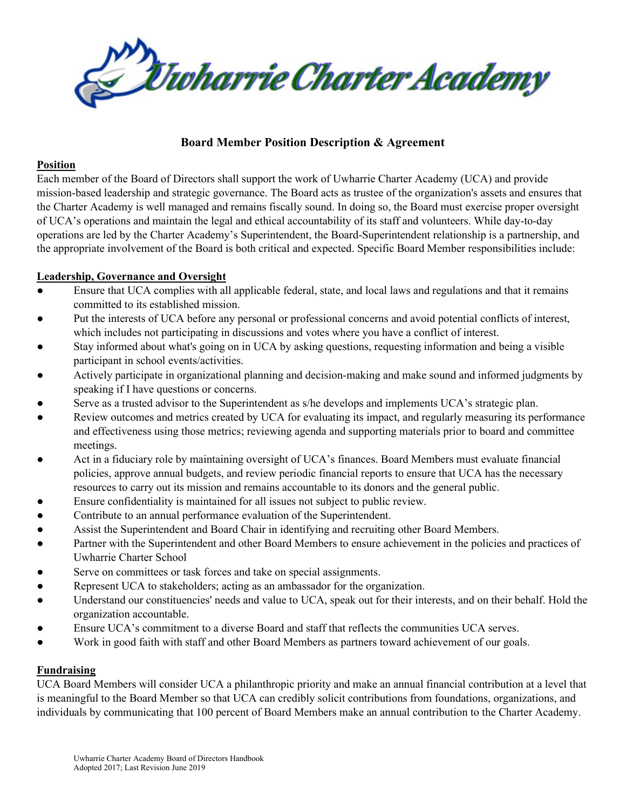

# **Board Member Position Description & Agreement**

### **Position**

Each member of the Board of Directors shall support the work of Uwharrie Charter Academy (UCA) and provide mission-based leadership and strategic governance. The Board acts as trustee of the organization's assets and ensures that the Charter Academy is well managed and remains fiscally sound. In doing so, the Board must exercise proper oversight of UCA's operations and maintain the legal and ethical accountability of its staff and volunteers. While day-to-day operations are led by the Charter Academy's Superintendent, the Board-Superintendent relationship is a partnership, and the appropriate involvement of the Board is both critical and expected. Specific Board Member responsibilities include:

### **Leadership, Governance and Oversight**

- Ensure that UCA complies with all applicable federal, state, and local laws and regulations and that it remains committed to its established mission.
- Put the interests of UCA before any personal or professional concerns and avoid potential conflicts of interest, which includes not participating in discussions and votes where you have a conflict of interest.
- Stay informed about what's going on in UCA by asking questions, requesting information and being a visible participant in school events/activities.
- Actively participate in organizational planning and decision-making and make sound and informed judgments by speaking if I have questions or concerns.
- Serve as a trusted advisor to the Superintendent as s/he develops and implements UCA's strategic plan.
- Review outcomes and metrics created by UCA for evaluating its impact, and regularly measuring its performance and effectiveness using those metrics; reviewing agenda and supporting materials prior to board and committee meetings.
- Act in a fiduciary role by maintaining oversight of UCA's finances. Board Members must evaluate financial policies, approve annual budgets, and review periodic financial reports to ensure that UCA has the necessary resources to carry out its mission and remains accountable to its donors and the general public.
- Ensure confidentiality is maintained for all issues not subject to public review.
- Contribute to an annual performance evaluation of the Superintendent.
- Assist the Superintendent and Board Chair in identifying and recruiting other Board Members.
- Partner with the Superintendent and other Board Members to ensure achievement in the policies and practices of Uwharrie Charter School
- Serve on committees or task forces and take on special assignments.
- Represent UCA to stakeholders; acting as an ambassador for the organization.
- Understand our constituencies' needs and value to UCA, speak out for their interests, and on their behalf. Hold the organization accountable.
- Ensure UCA's commitment to a diverse Board and staff that reflects the communities UCA serves.
- Work in good faith with staff and other Board Members as partners toward achievement of our goals.

## **Fundraising**

UCA Board Members will consider UCA a philanthropic priority and make an annual financial contribution at a level that is meaningful to the Board Member so that UCA can credibly solicit contributions from foundations, organizations, and individuals by communicating that 100 percent of Board Members make an annual contribution to the Charter Academy.